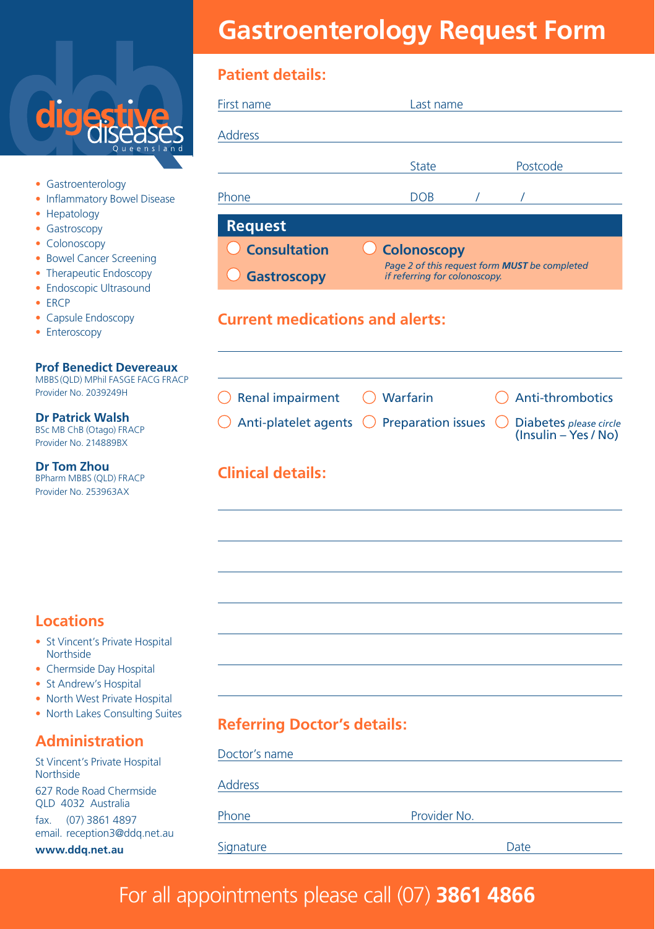

- Gastroenterology
- Inflammatory Bowel Disease
- Hepatology
- Gastroscopy
- Colonoscopy
- Bowel Cancer Screening
- Therapeutic Endoscopy
- Endoscopic Ultrasound
- ERCP
- Capsule Endoscopy
- Enteroscopy

#### **Prof Benedict Devereaux**

MBBS (QLD) MPhil FASGE FACG FRACP Provider No. 2039249H

**Dr Patrick Walsh** BSc MB ChB (Otago) FRACP Provider No. 214889BX

**Dr Tom Zhou** BPharm MBBS (QLD) FRACP Provider No. 253963AX

#### **Locations**

- St Vincent's Private Hospital **Northside**
- Chermside Day Hospital
- St Andrew's Hospital
- North West Private Hospital
- North Lakes Consulting Suites

#### **Administration**

St Vincent's Private Hospital **Northside** 627 Rode Road Chermside QLD 4032 Australia

fax. (07) 3861 4897 email. reception3@ddq.net.au

**www.ddq.net.au**

# **Gastroenterology Request Form**

#### **Patient details:**

| First name                                    | Last name                                                                                            |          |
|-----------------------------------------------|------------------------------------------------------------------------------------------------------|----------|
| <b>Address</b>                                |                                                                                                      |          |
|                                               | <b>State</b>                                                                                         | Postcode |
| Phone                                         | <b>DOB</b>                                                                                           |          |
| <b>Request</b>                                |                                                                                                      |          |
| $\bigcirc$ Consultation<br><b>Gastroscopy</b> | <b>Colonoscopy</b><br>Page 2 of this request form MUST be completed<br>if referring for colonoscopy. |          |
| <b>Current medications and alerts:</b>        |                                                                                                      |          |

| $\bigcirc$ Renal impairment $\bigcirc$ Warfarin                                                 | $\bigcap$ Anti-thrombotics |
|-------------------------------------------------------------------------------------------------|----------------------------|
| $\bigcirc$ Anti-platelet agents $\bigcirc$ Preparation issues $\bigcirc$ Diabetes please circle | $(Insulin - Yes / No)$     |

#### **Clinical details:**

### **Referring Doctor's details:**

| Doctor's name  |              |
|----------------|--------------|
| <b>Address</b> |              |
| Phone          | Provider No. |
| Signature      | Date         |

### For all appointments please call (07) **3861 4866**